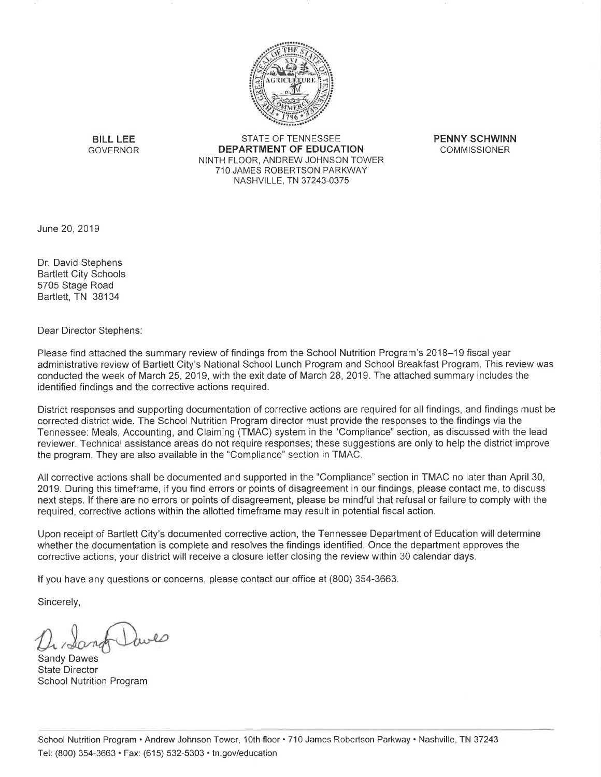

**BILL LEE GOVERNOR** 

STATE OF TENNESSEE **DEPARTMENT OF EDUCATION** NINTH FLOOR, ANDREW JOHNSON TOWER 710 JAMES ROBERTSON PARKWAY NASHVILLE, TN 37243-0375

**PENNY SCHWINN COMMISSIONER** 

June 20, 2019

Dr. David Stephens **Bartlett City Schools** 5705 Stage Road Bartlett, TN 38134

Dear Director Stephens:

Please find attached the summary review of findings from the School Nutrition Program's 2018–19 fiscal year administrative review of Bartlett City's National School Lunch Program and School Breakfast Program. This review was conducted the week of March 25, 2019, with the exit date of March 28, 2019. The attached summary includes the identified findings and the corrective actions required.

District responses and supporting documentation of corrective actions are required for all findings, and findings must be corrected district wide. The School Nutrition Program director must provide the responses to the findings via the Tennessee: Meals, Accounting, and Claiming (TMAC) system in the "Compliance" section, as discussed with the lead reviewer. Technical assistance areas do not require responses; these suggestions are only to help the district improve the program. They are also available in the "Compliance" section in TMAC.

All corrective actions shall be documented and supported in the "Compliance" section in TMAC no later than April 30, 2019. During this timeframe, if you find errors or points of disagreement in our findings, please contact me, to discuss next steps. If there are no errors or points of disagreement, please be mindful that refusal or failure to comply with the required, corrective actions within the allotted timeframe may result in potential fiscal action.

Upon receipt of Bartlett City's documented corrective action, the Tennessee Department of Education will determine whether the documentation is complete and resolves the findings identified. Once the department approves the corrective actions, your district will receive a closure letter closing the review within 30 calendar days.

If you have any questions or concerns, please contact our office at (800) 354-3663.

Sincerely,

**Sandy Dawes State Director School Nutrition Program**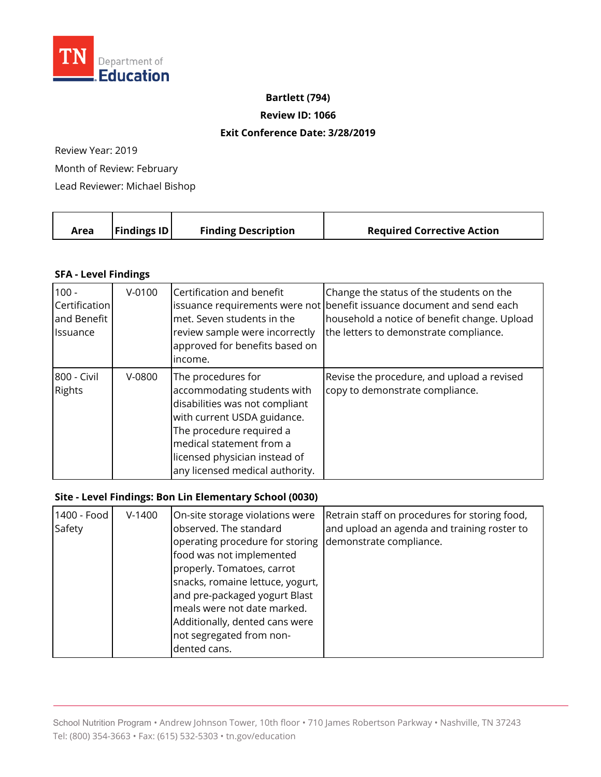

#### **Bartlett (794)**

**Review ID: 1066** 

#### **Exit Conference Date: 3/28/2019**

Review Year: 2019

Month of Review: February

Lead Reviewer: Michael Bishop

|  | Area | <b>Findings ID</b> | <b>Finding Description</b> | <b>Required Corrective Action</b> |
|--|------|--------------------|----------------------------|-----------------------------------|
|--|------|--------------------|----------------------------|-----------------------------------|

## **SFA - Level Findings**

| $100 -$<br>Certification<br>and Benefit<br><b>Issuance</b> | $V-0100$ | Certification and benefit<br>met. Seven students in the<br>review sample were incorrectly<br>approved for benefits based on<br>income.                                                                                                         | Change the status of the students on the<br>issuance requirements were not benefit issuance document and send each<br>household a notice of benefit change. Upload<br>the letters to demonstrate compliance. |
|------------------------------------------------------------|----------|------------------------------------------------------------------------------------------------------------------------------------------------------------------------------------------------------------------------------------------------|--------------------------------------------------------------------------------------------------------------------------------------------------------------------------------------------------------------|
| 800 - Civil<br><b>Rights</b>                               | $V-0800$ | The procedures for<br>accommodating students with<br>disabilities was not compliant<br>with current USDA guidance.<br>The procedure required a<br>medical statement from a<br>licensed physician instead of<br>any licensed medical authority. | Revise the procedure, and upload a revised<br>copy to demonstrate compliance.                                                                                                                                |

## **Site - Level Findings: Bon Lin Elementary School (0030)**

| 1400 - Food<br>Safety | $V-1400$ | On-site storage violations were<br>observed. The standard<br>operating procedure for storing<br>food was not implemented<br>properly. Tomatoes, carrot<br>snacks, romaine lettuce, yogurt,<br>and pre-packaged yogurt Blast<br>meals were not date marked.<br>Additionally, dented cans were<br>not segregated from non-<br>dented cans. | Retrain staff on procedures for storing food,<br>and upload an agenda and training roster to<br>demonstrate compliance. |
|-----------------------|----------|------------------------------------------------------------------------------------------------------------------------------------------------------------------------------------------------------------------------------------------------------------------------------------------------------------------------------------------|-------------------------------------------------------------------------------------------------------------------------|
|-----------------------|----------|------------------------------------------------------------------------------------------------------------------------------------------------------------------------------------------------------------------------------------------------------------------------------------------------------------------------------------------|-------------------------------------------------------------------------------------------------------------------------|